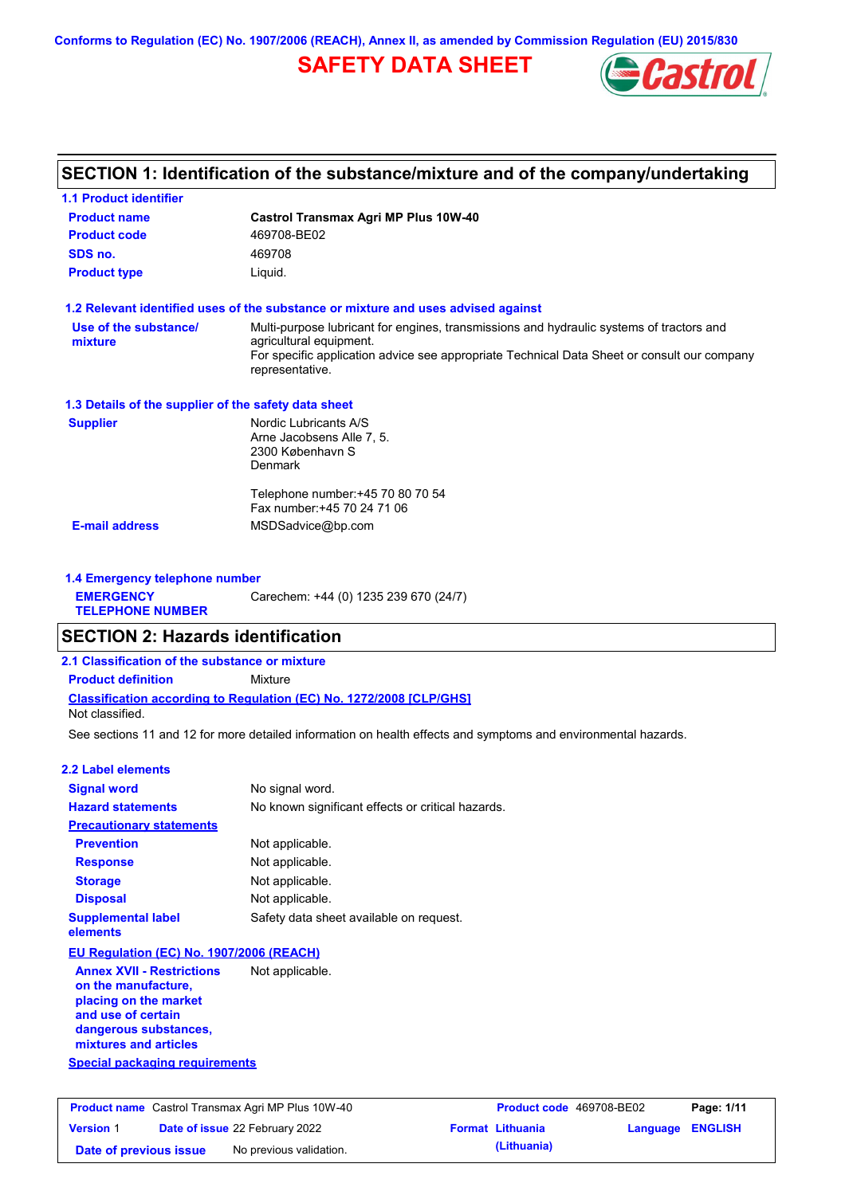**Conforms to Regulation (EC) No. 1907/2006 (REACH), Annex II, as amended by Commission Regulation (EU) 2015/830**

# **SAFETY DATA SHEET**



# **SECTION 1: Identification of the substance/mixture and of the company/undertaking**

| <b>1.1 Product identifier</b>                        |                                                                                                                                                                                                                                       |
|------------------------------------------------------|---------------------------------------------------------------------------------------------------------------------------------------------------------------------------------------------------------------------------------------|
| <b>Product name</b>                                  | Castrol Transmax Agri MP Plus 10W-40                                                                                                                                                                                                  |
| <b>Product code</b>                                  | 469708-BE02                                                                                                                                                                                                                           |
| SDS no.                                              | 469708                                                                                                                                                                                                                                |
| <b>Product type</b>                                  | Liquid.                                                                                                                                                                                                                               |
|                                                      | 1.2 Relevant identified uses of the substance or mixture and uses advised against                                                                                                                                                     |
| Use of the substance/<br>mixture                     | Multi-purpose lubricant for engines, transmissions and hydraulic systems of tractors and<br>agricultural equipment.<br>For specific application advice see appropriate Technical Data Sheet or consult our company<br>representative. |
| 1.3 Details of the supplier of the safety data sheet |                                                                                                                                                                                                                                       |
| <b>Supplier</b>                                      | Nordic Lubricants A/S<br>Arne Jacobsens Alle 7, 5.<br>2300 København S<br>Denmark                                                                                                                                                     |
|                                                      | Telephone number: +45 70 80 70 54<br>Fax number: +45 70 24 71 06                                                                                                                                                                      |
| <b>E-mail address</b>                                | MSDSadvice@bp.com                                                                                                                                                                                                                     |
| 1.4 Emergency telephone number                       |                                                                                                                                                                                                                                       |
| <b>EMERGENCY</b><br><b>TELEPHONE NUMBER</b>          | Carechem: +44 (0) 1235 239 670 (24/7)                                                                                                                                                                                                 |
| <b>SECTION 2: Hazards identification</b>             |                                                                                                                                                                                                                                       |
| 2.1 Classification of the substance or mixture       |                                                                                                                                                                                                                                       |
| <b>Product definition</b>                            | Mixture                                                                                                                                                                                                                               |

**Classification according to Regulation (EC) No. 1272/2008 [CLP/GHS]**

Not classified.

See sections 11 and 12 for more detailed information on health effects and symptoms and environmental hazards.

### **2.2 Label elements**

| <b>Signal word</b>                    | No signal word.                                   |
|---------------------------------------|---------------------------------------------------|
| <b>Hazard statements</b>              | No known significant effects or critical hazards. |
| <b>Precautionary statements</b>       |                                                   |
| <b>Prevention</b>                     | Not applicable.                                   |
| <b>Response</b>                       | Not applicable.                                   |
| <b>Storage</b>                        | Not applicable.                                   |
| <b>Disposal</b>                       | Not applicable.                                   |
| <b>Supplemental label</b><br>elements | Safety data sheet available on request.           |
|                                       |                                                   |

### **EU Regulation (EC) No. 1907/2006 (REACH)**

**Annex XVII - Restrictions on the manufacture, placing on the market and use of certain dangerous substances, mixtures and articles** Not applicable.

**Special packaging requirements**

| <b>Product name</b> Castrol Transmax Agri MP Plus 10W-40 |  |                                       | Product code 469708-BE02 |                         | Page: 1/11              |  |
|----------------------------------------------------------|--|---------------------------------------|--------------------------|-------------------------|-------------------------|--|
| <b>Version 1</b>                                         |  | <b>Date of issue 22 February 2022</b> |                          | <b>Format Lithuania</b> | <b>Language ENGLISH</b> |  |
| Date of previous issue                                   |  | No previous validation.               |                          | (Lithuania)             |                         |  |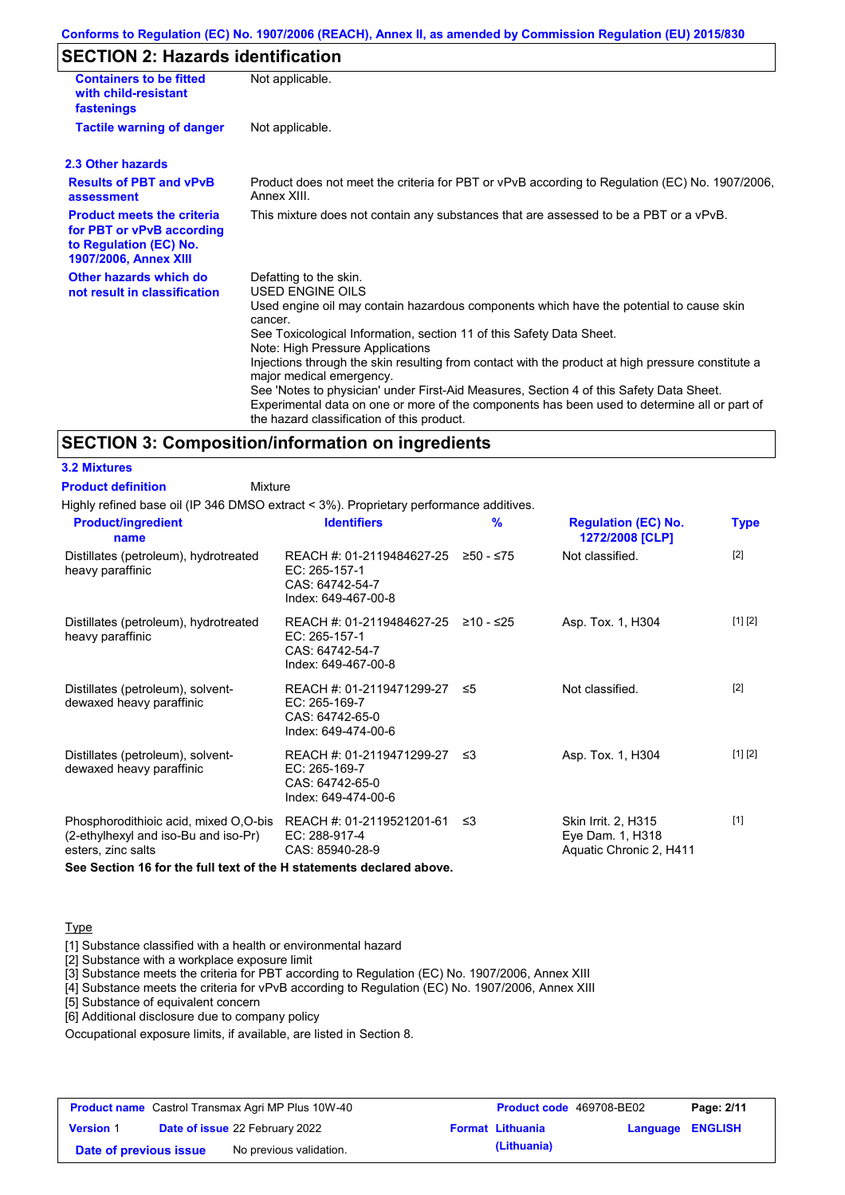### **Conforms to Regulation (EC) No. 1907/2006 (REACH), Annex II, as amended by Commission Regulation (EU) 2015/830**

# **SECTION 2: Hazards identification**

| <b>Containers to be fitted</b><br>with child-resistant<br>fastenings                                                     | Not applicable.                                                                                                                                                                                                                                                                                                                                                   |
|--------------------------------------------------------------------------------------------------------------------------|-------------------------------------------------------------------------------------------------------------------------------------------------------------------------------------------------------------------------------------------------------------------------------------------------------------------------------------------------------------------|
| <b>Tactile warning of danger</b>                                                                                         | Not applicable.                                                                                                                                                                                                                                                                                                                                                   |
| 2.3 Other hazards                                                                                                        |                                                                                                                                                                                                                                                                                                                                                                   |
| <b>Results of PBT and vPvB</b><br>assessment                                                                             | Product does not meet the criteria for PBT or vPvB according to Regulation (EC) No. 1907/2006,<br>Annex XIII.                                                                                                                                                                                                                                                     |
| <b>Product meets the criteria</b><br>for PBT or vPvB according<br>to Regulation (EC) No.<br><b>1907/2006, Annex XIII</b> | This mixture does not contain any substances that are assessed to be a PBT or a vPvB.                                                                                                                                                                                                                                                                             |
| Other hazards which do<br>not result in classification                                                                   | Defatting to the skin.<br>USED ENGINE OILS<br>Used engine oil may contain hazardous components which have the potential to cause skin<br>cancer.<br>See Toxicological Information, section 11 of this Safety Data Sheet.<br>Note: High Pressure Applications<br>Injections through the skin resulting from contact with the product at high pressure constitute a |
|                                                                                                                          | major medical emergency.<br>See 'Notes to physician' under First-Aid Measures, Section 4 of this Safety Data Sheet.<br>Experimental data on one or more of the components has been used to determine all or part of<br>the hazard classification of this product.                                                                                                 |

### **SECTION 3: Composition/information on ingredients**

**3.2 Mixtures Product definition**

Mixture

Highly refined base oil (IP 346 DMSO extract < 3%). Proprietary performance additives.

| <b>Product/ingredient</b><br>name                                                                   | <b>Identifiers</b>                                                                               | $\frac{9}{6}$ | <b>Regulation (EC) No.</b><br>1272/2008 [CLP]                      | <b>Type</b> |
|-----------------------------------------------------------------------------------------------------|--------------------------------------------------------------------------------------------------|---------------|--------------------------------------------------------------------|-------------|
| Distillates (petroleum), hydrotreated<br>heavy paraffinic                                           | REACH #: 01-2119484627-25<br>EC: 265-157-1<br>CAS: 64742-54-7<br>Index: 649-467-00-8             | ≥50 - ≤75     | Not classified.                                                    | $[2]$       |
| Distillates (petroleum), hydrotreated<br>heavy paraffinic                                           | REACH #: 01-2119484627-25 ≥10 - ≤25<br>EC: $265-157-1$<br>CAS: 64742-54-7<br>Index: 649-467-00-8 |               | Asp. Tox. 1, H304                                                  | [1] [2]     |
| Distillates (petroleum), solvent-<br>dewaxed heavy paraffinic                                       | REACH #: 01-2119471299-27 ≤5<br>EC: 265-169-7<br>CAS: 64742-65-0<br>Index: 649-474-00-6          |               | Not classified.                                                    | $[2]$       |
| Distillates (petroleum), solvent-<br>dewaxed heavy paraffinic                                       | REACH #: 01-2119471299-27 ≤3<br>EC: 265-169-7<br>CAS: 64742-65-0<br>Index: 649-474-00-6          |               | Asp. Tox. 1, H304                                                  | [1] [2]     |
| Phosphorodithioic acid, mixed O,O-bis<br>(2-ethylhexyl and iso-Bu and iso-Pr)<br>esters, zinc salts | REACH #: 01-2119521201-61<br>EC: 288-917-4<br>CAS: 85940-28-9                                    | -≤3           | Skin Irrit. 2, H315<br>Eye Dam. 1, H318<br>Aquatic Chronic 2, H411 | $[1]$       |

**See Section 16 for the full text of the H statements declared above.**

### **Type**

[1] Substance classified with a health or environmental hazard

[2] Substance with a workplace exposure limit

[3] Substance meets the criteria for PBT according to Regulation (EC) No. 1907/2006, Annex XIII

[4] Substance meets the criteria for vPvB according to Regulation (EC) No. 1907/2006, Annex XIII

[5] Substance of equivalent concern

[6] Additional disclosure due to company policy

Occupational exposure limits, if available, are listed in Section 8.

| <b>Product name</b> Castrol Transmax Agri MP Plus 10W-40 |  |                                       | <b>Product code</b> 469708-BE02 |                         | Page: 2/11              |  |
|----------------------------------------------------------|--|---------------------------------------|---------------------------------|-------------------------|-------------------------|--|
| <b>Version 1</b>                                         |  | <b>Date of issue 22 February 2022</b> |                                 | <b>Format Lithuania</b> | <b>Language ENGLISH</b> |  |
| Date of previous issue                                   |  | No previous validation.               |                                 | (Lithuania)             |                         |  |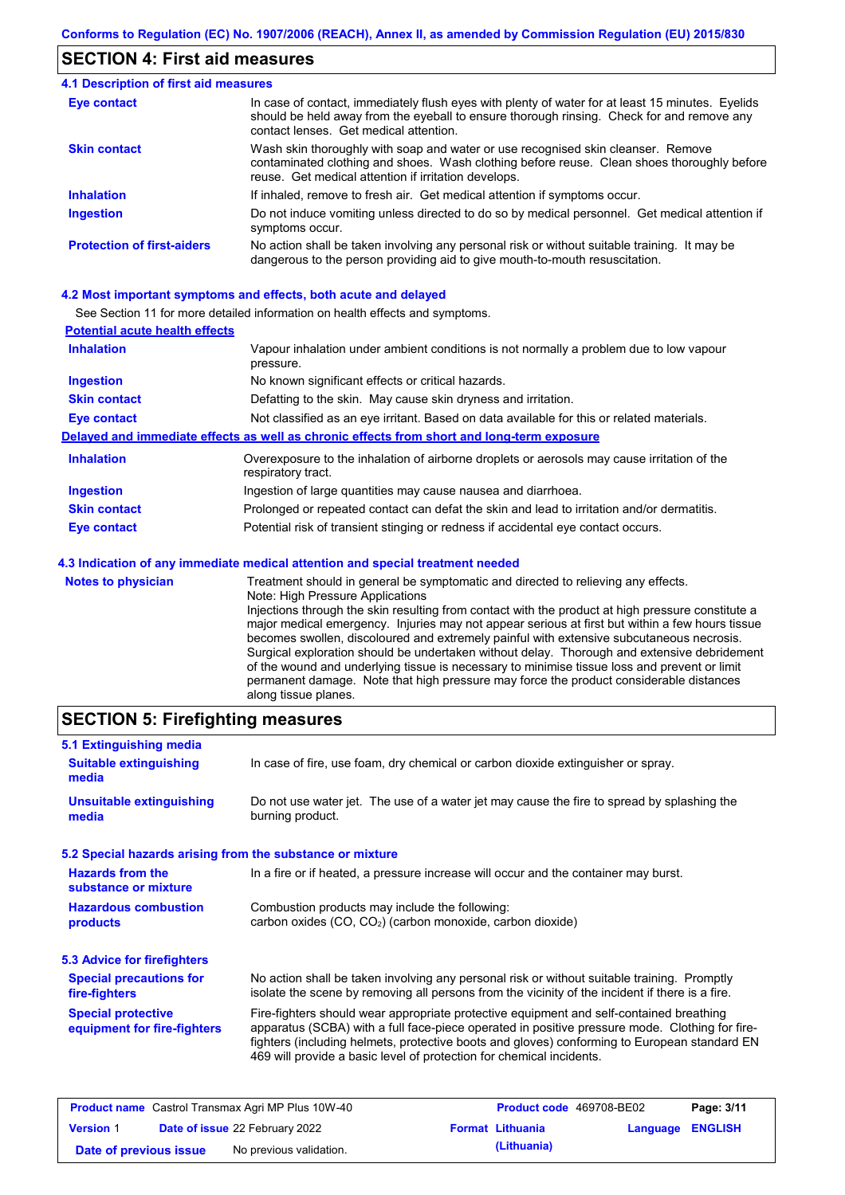## **SECTION 4: First aid measures**

| <b>4.1 Description of first aid measures</b> |                                                                                                                                                                                                                                         |
|----------------------------------------------|-----------------------------------------------------------------------------------------------------------------------------------------------------------------------------------------------------------------------------------------|
| <b>Eye contact</b>                           | In case of contact, immediately flush eyes with plenty of water for at least 15 minutes. Eyelids<br>should be held away from the eyeball to ensure thorough rinsing. Check for and remove any<br>contact lenses. Get medical attention. |
| <b>Skin contact</b>                          | Wash skin thoroughly with soap and water or use recognised skin cleanser. Remove<br>contaminated clothing and shoes. Wash clothing before reuse. Clean shoes thoroughly before<br>reuse. Get medical attention if irritation develops.  |
| <b>Inhalation</b>                            | If inhaled, remove to fresh air. Get medical attention if symptoms occur.                                                                                                                                                               |
| <b>Ingestion</b>                             | Do not induce vomiting unless directed to do so by medical personnel. Get medical attention if<br>symptoms occur.                                                                                                                       |
| <b>Protection of first-aiders</b>            | No action shall be taken involving any personal risk or without suitable training. It may be<br>dangerous to the person providing aid to give mouth-to-mouth resuscitation.                                                             |

#### **4.2 Most important symptoms and effects, both acute and delayed**

See Section 11 for more detailed information on health effects and symptoms.

| <b>Potential acute health effects</b> |                                                                                                                         |
|---------------------------------------|-------------------------------------------------------------------------------------------------------------------------|
| <b>Inhalation</b>                     | Vapour inhalation under ambient conditions is not normally a problem due to low vapour<br>pressure.                     |
| <b>Ingestion</b>                      | No known significant effects or critical hazards.                                                                       |
| <b>Skin contact</b>                   | Defatting to the skin. May cause skin dryness and irritation.                                                           |
| Eye contact                           | Not classified as an eye irritant. Based on data available for this or related materials.                               |
|                                       | Delayed and immediate effects as well as chronic effects from short and long-term exposure                              |
| <b>Inhalation</b>                     | Overexposure to the inhalation of airborne droplets or aerosols may cause irritation of the<br>respiratory tract.       |
| <b>Ingestion</b>                      | Ingestion of large quantities may cause nausea and diarrhoea.                                                           |
| <b>Skin contact</b>                   | Prolonged or repeated contact can defat the skin and lead to irritation and/or dermatitis.                              |
| Eye contact                           | Potential risk of transient stinging or redness if accidental eye contact occurs.                                       |
|                                       | 4.3 Indication of any immediate medical attention and special treatment needed                                          |
| <b>Notes to physician</b>             | Treatment should in general be symptomatic and directed to relieving any effects.<br>Nata: Utale Dasserias Arabications |

Note: High Pressure Applications Injections through the skin resulting from contact with the product at high pressure constitute a major medical emergency. Injuries may not appear serious at first but within a few hours tissue becomes swollen, discoloured and extremely painful with extensive subcutaneous necrosis. Surgical exploration should be undertaken without delay. Thorough and extensive debridement of the wound and underlying tissue is necessary to minimise tissue loss and prevent or limit permanent damage. Note that high pressure may force the product considerable distances along tissue planes.

## **SECTION 5: Firefighting measures**

| 5.1 Extinguishing media                                   |                                                                                                                                                                                                                                                                                                                                                                   |
|-----------------------------------------------------------|-------------------------------------------------------------------------------------------------------------------------------------------------------------------------------------------------------------------------------------------------------------------------------------------------------------------------------------------------------------------|
| <b>Suitable extinguishing</b><br>media                    | In case of fire, use foam, dry chemical or carbon dioxide extinguisher or spray.                                                                                                                                                                                                                                                                                  |
| <b>Unsuitable extinguishing</b><br>media                  | Do not use water jet. The use of a water jet may cause the fire to spread by splashing the<br>burning product.                                                                                                                                                                                                                                                    |
| 5.2 Special hazards arising from the substance or mixture |                                                                                                                                                                                                                                                                                                                                                                   |
| <b>Hazards from the</b><br>substance or mixture           | In a fire or if heated, a pressure increase will occur and the container may burst.                                                                                                                                                                                                                                                                               |
| <b>Hazardous combustion</b><br>products                   | Combustion products may include the following:<br>carbon oxides (CO, CO <sub>2</sub> ) (carbon monoxide, carbon dioxide)                                                                                                                                                                                                                                          |
| 5.3 Advice for firefighters                               |                                                                                                                                                                                                                                                                                                                                                                   |
| <b>Special precautions for</b><br>fire-fighters           | No action shall be taken involving any personal risk or without suitable training. Promptly<br>isolate the scene by removing all persons from the vicinity of the incident if there is a fire.                                                                                                                                                                    |
| <b>Special protective</b><br>equipment for fire-fighters  | Fire-fighters should wear appropriate protective equipment and self-contained breathing<br>apparatus (SCBA) with a full face-piece operated in positive pressure mode. Clothing for fire-<br>fighters (including helmets, protective boots and gloves) conforming to European standard EN<br>469 will provide a basic level of protection for chemical incidents. |

| <b>Product name</b> Castrol Transmax Agri MP Plus 10W-40 |  |                                       | Product code 469708-BE02 |                         | Page: 3/11              |  |
|----------------------------------------------------------|--|---------------------------------------|--------------------------|-------------------------|-------------------------|--|
| <b>Version 1</b>                                         |  | <b>Date of issue 22 February 2022</b> |                          | <b>Format Lithuania</b> | <b>Language ENGLISH</b> |  |
| Date of previous issue                                   |  | No previous validation.               |                          | (Lithuania)             |                         |  |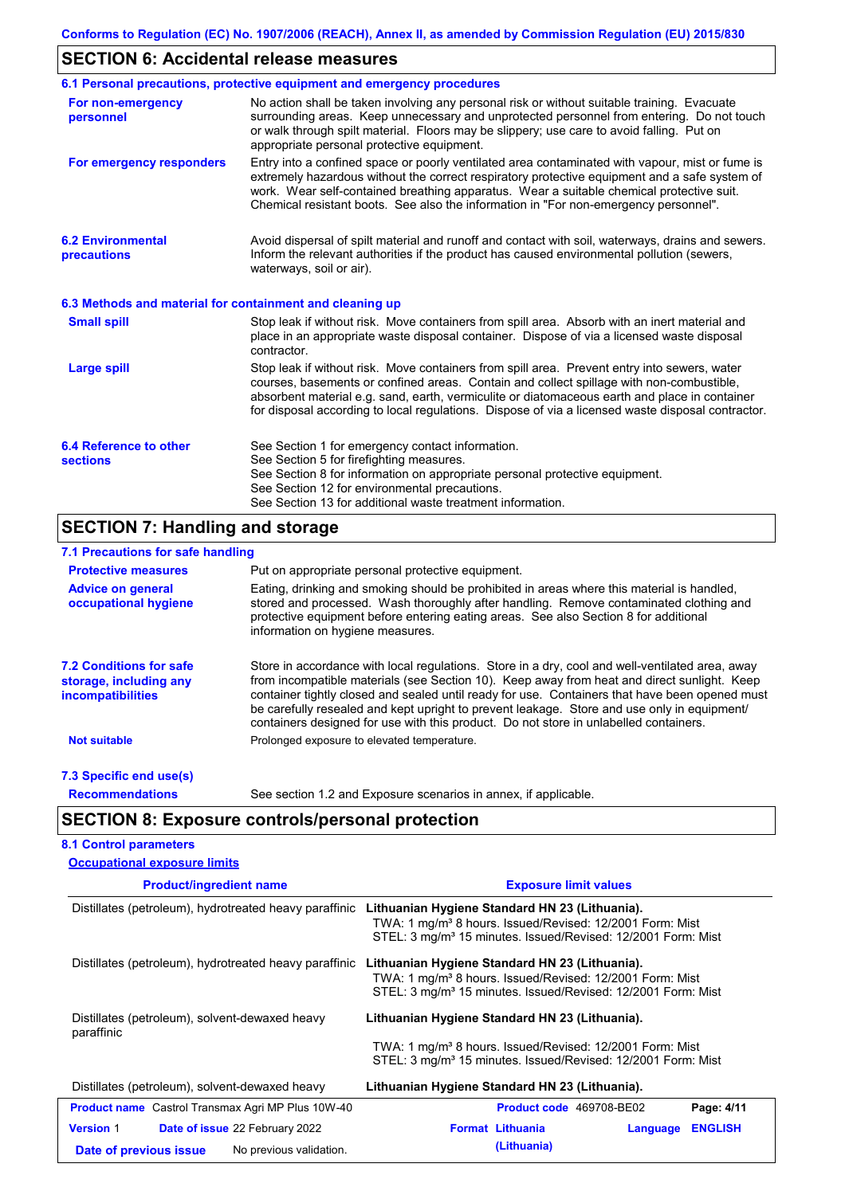# **SECTION 6: Accidental release measures**

| No action shall be taken involving any personal risk or without suitable training. Evacuate<br>surrounding areas. Keep unnecessary and unprotected personnel from entering. Do not touch<br>or walk through spilt material. Floors may be slippery; use care to avoid falling. Put on<br>appropriate personal protective equipment.<br>Entry into a confined space or poorly ventilated area contaminated with vapour, mist or fume is<br>extremely hazardous without the correct respiratory protective equipment and a safe system of<br>work. Wear self-contained breathing apparatus. Wear a suitable chemical protective suit.<br>Chemical resistant boots. See also the information in "For non-emergency personnel".<br>Avoid dispersal of spilt material and runoff and contact with soil, waterways, drains and sewers.<br>Inform the relevant authorities if the product has caused environmental pollution (sewers,<br>waterways, soil or air). |
|------------------------------------------------------------------------------------------------------------------------------------------------------------------------------------------------------------------------------------------------------------------------------------------------------------------------------------------------------------------------------------------------------------------------------------------------------------------------------------------------------------------------------------------------------------------------------------------------------------------------------------------------------------------------------------------------------------------------------------------------------------------------------------------------------------------------------------------------------------------------------------------------------------------------------------------------------------|
|                                                                                                                                                                                                                                                                                                                                                                                                                                                                                                                                                                                                                                                                                                                                                                                                                                                                                                                                                            |
|                                                                                                                                                                                                                                                                                                                                                                                                                                                                                                                                                                                                                                                                                                                                                                                                                                                                                                                                                            |
|                                                                                                                                                                                                                                                                                                                                                                                                                                                                                                                                                                                                                                                                                                                                                                                                                                                                                                                                                            |
| 6.3 Methods and material for containment and cleaning up                                                                                                                                                                                                                                                                                                                                                                                                                                                                                                                                                                                                                                                                                                                                                                                                                                                                                                   |
| Stop leak if without risk. Move containers from spill area. Absorb with an inert material and<br>place in an appropriate waste disposal container. Dispose of via a licensed waste disposal                                                                                                                                                                                                                                                                                                                                                                                                                                                                                                                                                                                                                                                                                                                                                                |
| Stop leak if without risk. Move containers from spill area. Prevent entry into sewers, water<br>courses, basements or confined areas. Contain and collect spillage with non-combustible,<br>absorbent material e.g. sand, earth, vermiculite or diatomaceous earth and place in container<br>for disposal according to local regulations. Dispose of via a licensed waste disposal contractor.                                                                                                                                                                                                                                                                                                                                                                                                                                                                                                                                                             |
| See Section 1 for emergency contact information.<br>See Section 5 for firefighting measures.<br>See Section 8 for information on appropriate personal protective equipment.<br>See Section 12 for environmental precautions.                                                                                                                                                                                                                                                                                                                                                                                                                                                                                                                                                                                                                                                                                                                               |
|                                                                                                                                                                                                                                                                                                                                                                                                                                                                                                                                                                                                                                                                                                                                                                                                                                                                                                                                                            |

### **7.1 Precautions for safe handling**

| <b>Protective measures</b>                                                    | Put on appropriate personal protective equipment.                                                                                                                                                                                                                                                                                                                                                                                                                                        |
|-------------------------------------------------------------------------------|------------------------------------------------------------------------------------------------------------------------------------------------------------------------------------------------------------------------------------------------------------------------------------------------------------------------------------------------------------------------------------------------------------------------------------------------------------------------------------------|
| <b>Advice on general</b><br>occupational hygiene                              | Eating, drinking and smoking should be prohibited in areas where this material is handled,<br>stored and processed. Wash thoroughly after handling. Remove contaminated clothing and<br>protective equipment before entering eating areas. See also Section 8 for additional<br>information on hygiene measures.                                                                                                                                                                         |
| <b>7.2 Conditions for safe</b><br>storage, including any<br>incompatibilities | Store in accordance with local requiations. Store in a dry, cool and well-ventilated area, away<br>from incompatible materials (see Section 10). Keep away from heat and direct sunlight. Keep<br>container tightly closed and sealed until ready for use. Containers that have been opened must<br>be carefully resealed and kept upright to prevent leakage. Store and use only in equipment/<br>containers designed for use with this product. Do not store in unlabelled containers. |
| <b>Not suitable</b>                                                           | Prolonged exposure to elevated temperature.                                                                                                                                                                                                                                                                                                                                                                                                                                              |
| 7.3 Specific end use(s)                                                       |                                                                                                                                                                                                                                                                                                                                                                                                                                                                                          |
| <b>Recommendations</b>                                                        | See section 1.2 and Exposure scenarios in annex, if applicable.                                                                                                                                                                                                                                                                                                                                                                                                                          |

# **SECTION 8: Exposure controls/personal protection**

| <b>8.1 Control parameters</b>       |  |
|-------------------------------------|--|
| <b>Occupational exposure limits</b> |  |

| <b>Product/ingredient name</b>                                                                          | <b>Exposure limit values</b>                                                                                                                                                                       |
|---------------------------------------------------------------------------------------------------------|----------------------------------------------------------------------------------------------------------------------------------------------------------------------------------------------------|
| Distillates (petroleum), hydrotreated heavy paraffinic                                                  | Lithuanian Hygiene Standard HN 23 (Lithuania).<br>TWA: 1 mg/m <sup>3</sup> 8 hours. Issued/Revised: 12/2001 Form: Mist<br>STEL: 3 mg/m <sup>3</sup> 15 minutes. Issued/Revised: 12/2001 Form: Mist |
| Distillates (petroleum), hydrotreated heavy paraffinic                                                  | Lithuanian Hygiene Standard HN 23 (Lithuania).<br>TWA: 1 mg/m <sup>3</sup> 8 hours. Issued/Revised: 12/2001 Form: Mist<br>STEL: 3 mg/m <sup>3</sup> 15 minutes. Issued/Revised: 12/2001 Form: Mist |
| Distillates (petroleum), solvent-dewaxed heavy<br>paraffinic                                            | Lithuanian Hygiene Standard HN 23 (Lithuania).<br>TWA: 1 mg/m <sup>3</sup> 8 hours. Issued/Revised: 12/2001 Form: Mist<br>STEL: 3 mg/m <sup>3</sup> 15 minutes. Issued/Revised: 12/2001 Form: Mist |
| Distillates (petroleum), solvent-dewaxed heavy                                                          | Lithuanian Hygiene Standard HN 23 (Lithuania).                                                                                                                                                     |
| <b>Product name</b> Castrol Transmax Agri MP Plus 10W-40                                                | Product code 469708-BE02<br>Page: 4/11                                                                                                                                                             |
| <b>Version 1</b><br>Date of issue 22 February 2022<br>No previous validation.<br>Date of previous issue | <b>ENGLISH</b><br><b>Format Lithuania</b><br>Language<br>(Lithuania)                                                                                                                               |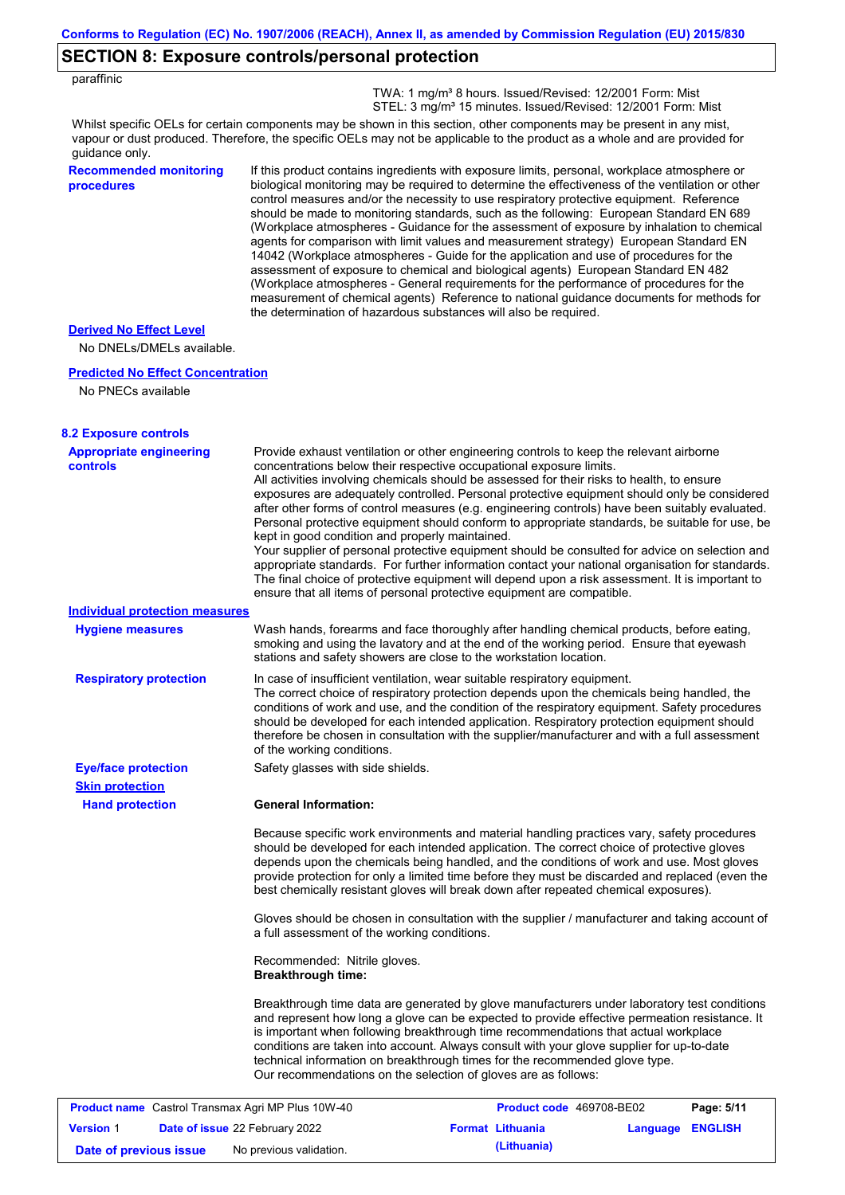## **SECTION 8: Exposure controls/personal protection**

| paraffinic |  |
|------------|--|
|------------|--|

 TWA: 1 mg/m³ 8 hours. Issued/Revised: 12/2001 Form: Mist STEL: 3 mg/m<sup>3</sup> 15 minutes. Issued/Revised: 12/2001 Form: Mist

Whilst specific OELs for certain components may be shown in this section, other components may be present in any mist, vapour or dust produced. Therefore, the specific OELs may not be applicable to the product as a whole and are provided for guidance only.

#### **Recommended monitoring procedures**

If this product contains ingredients with exposure limits, personal, workplace atmosphere or biological monitoring may be required to determine the effectiveness of the ventilation or other control measures and/or the necessity to use respiratory protective equipment. Reference should be made to monitoring standards, such as the following: European Standard EN 689 (Workplace atmospheres - Guidance for the assessment of exposure by inhalation to chemical agents for comparison with limit values and measurement strategy) European Standard EN 14042 (Workplace atmospheres - Guide for the application and use of procedures for the assessment of exposure to chemical and biological agents) European Standard EN 482 (Workplace atmospheres - General requirements for the performance of procedures for the measurement of chemical agents) Reference to national guidance documents for methods for the determination of hazardous substances will also be required.

#### **Derived No Effect Level**

No DNELs/DMELs available.

#### **Predicted No Effect Concentration**

No PNECs available

| <b>8.2 Exposure controls</b>                             |                                                                                                                                                                                                                                                                                                                                                                                                                                                                                                                                                                                                                                                                                                                                                                                                                                                                                                                                                                                                         |                          |                  |            |
|----------------------------------------------------------|---------------------------------------------------------------------------------------------------------------------------------------------------------------------------------------------------------------------------------------------------------------------------------------------------------------------------------------------------------------------------------------------------------------------------------------------------------------------------------------------------------------------------------------------------------------------------------------------------------------------------------------------------------------------------------------------------------------------------------------------------------------------------------------------------------------------------------------------------------------------------------------------------------------------------------------------------------------------------------------------------------|--------------------------|------------------|------------|
| <b>Appropriate engineering</b><br>controls               | Provide exhaust ventilation or other engineering controls to keep the relevant airborne<br>concentrations below their respective occupational exposure limits.<br>All activities involving chemicals should be assessed for their risks to health, to ensure<br>exposures are adequately controlled. Personal protective equipment should only be considered<br>after other forms of control measures (e.g. engineering controls) have been suitably evaluated.<br>Personal protective equipment should conform to appropriate standards, be suitable for use, be<br>kept in good condition and properly maintained.<br>Your supplier of personal protective equipment should be consulted for advice on selection and<br>appropriate standards. For further information contact your national organisation for standards.<br>The final choice of protective equipment will depend upon a risk assessment. It is important to<br>ensure that all items of personal protective equipment are compatible. |                          |                  |            |
| <b>Individual protection measures</b>                    |                                                                                                                                                                                                                                                                                                                                                                                                                                                                                                                                                                                                                                                                                                                                                                                                                                                                                                                                                                                                         |                          |                  |            |
| <b>Hygiene measures</b>                                  | Wash hands, forearms and face thoroughly after handling chemical products, before eating,<br>smoking and using the lavatory and at the end of the working period. Ensure that eyewash<br>stations and safety showers are close to the workstation location.                                                                                                                                                                                                                                                                                                                                                                                                                                                                                                                                                                                                                                                                                                                                             |                          |                  |            |
| <b>Respiratory protection</b>                            | In case of insufficient ventilation, wear suitable respiratory equipment.<br>The correct choice of respiratory protection depends upon the chemicals being handled, the<br>conditions of work and use, and the condition of the respiratory equipment. Safety procedures<br>should be developed for each intended application. Respiratory protection equipment should<br>therefore be chosen in consultation with the supplier/manufacturer and with a full assessment<br>of the working conditions.                                                                                                                                                                                                                                                                                                                                                                                                                                                                                                   |                          |                  |            |
| <b>Eye/face protection</b>                               | Safety glasses with side shields.                                                                                                                                                                                                                                                                                                                                                                                                                                                                                                                                                                                                                                                                                                                                                                                                                                                                                                                                                                       |                          |                  |            |
| <b>Skin protection</b>                                   |                                                                                                                                                                                                                                                                                                                                                                                                                                                                                                                                                                                                                                                                                                                                                                                                                                                                                                                                                                                                         |                          |                  |            |
| <b>Hand protection</b>                                   | <b>General Information:</b>                                                                                                                                                                                                                                                                                                                                                                                                                                                                                                                                                                                                                                                                                                                                                                                                                                                                                                                                                                             |                          |                  |            |
|                                                          | Because specific work environments and material handling practices vary, safety procedures<br>should be developed for each intended application. The correct choice of protective gloves<br>depends upon the chemicals being handled, and the conditions of work and use. Most gloves<br>provide protection for only a limited time before they must be discarded and replaced (even the<br>best chemically resistant gloves will break down after repeated chemical exposures).                                                                                                                                                                                                                                                                                                                                                                                                                                                                                                                        |                          |                  |            |
|                                                          | Gloves should be chosen in consultation with the supplier / manufacturer and taking account of<br>a full assessment of the working conditions.                                                                                                                                                                                                                                                                                                                                                                                                                                                                                                                                                                                                                                                                                                                                                                                                                                                          |                          |                  |            |
|                                                          | Recommended: Nitrile gloves.<br><b>Breakthrough time:</b>                                                                                                                                                                                                                                                                                                                                                                                                                                                                                                                                                                                                                                                                                                                                                                                                                                                                                                                                               |                          |                  |            |
|                                                          | Breakthrough time data are generated by glove manufacturers under laboratory test conditions<br>and represent how long a glove can be expected to provide effective permeation resistance. It<br>is important when following breakthrough time recommendations that actual workplace<br>conditions are taken into account. Always consult with your glove supplier for up-to-date<br>technical information on breakthrough times for the recommended glove type.<br>Our recommendations on the selection of gloves are as follows:                                                                                                                                                                                                                                                                                                                                                                                                                                                                      |                          |                  |            |
| <b>Product name</b> Castrol Transmax Agri MP Plus 10W-40 |                                                                                                                                                                                                                                                                                                                                                                                                                                                                                                                                                                                                                                                                                                                                                                                                                                                                                                                                                                                                         | Product code 469708-BE02 |                  | Page: 5/11 |
| <b>Version 1</b>                                         | Date of issue 22 February 2022                                                                                                                                                                                                                                                                                                                                                                                                                                                                                                                                                                                                                                                                                                                                                                                                                                                                                                                                                                          | <b>Format Lithuania</b>  | Language ENGLISH |            |

**Date of previous issue** No previous validation. **(Lithuania)**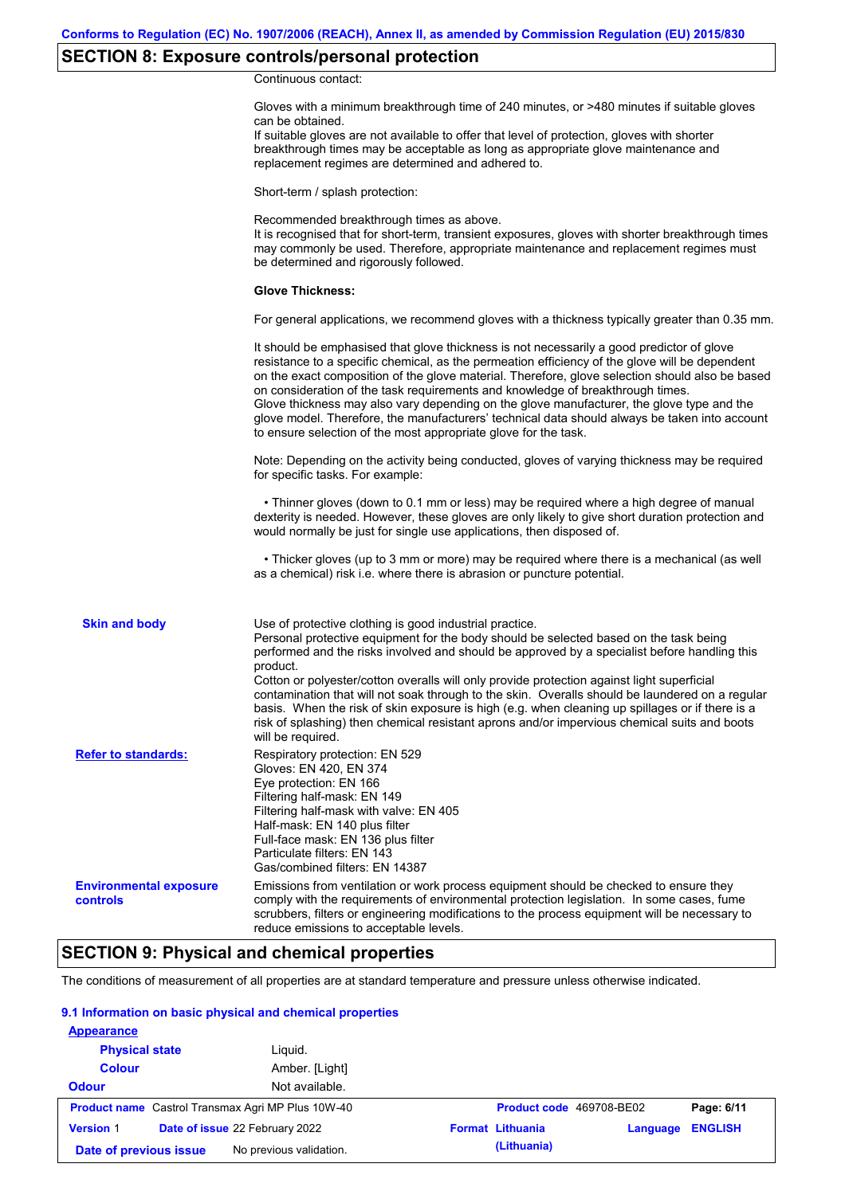# **SECTION 8: Exposure controls/personal protection**

Continuous contact:

|                                           | Gloves with a minimum breakthrough time of 240 minutes, or >480 minutes if suitable gloves<br>can be obtained.<br>If suitable gloves are not available to offer that level of protection, gloves with shorter<br>breakthrough times may be acceptable as long as appropriate glove maintenance and<br>replacement regimes are determined and adhered to.                                                                                                                                                                                                                                                                                                         |
|-------------------------------------------|------------------------------------------------------------------------------------------------------------------------------------------------------------------------------------------------------------------------------------------------------------------------------------------------------------------------------------------------------------------------------------------------------------------------------------------------------------------------------------------------------------------------------------------------------------------------------------------------------------------------------------------------------------------|
|                                           | Short-term / splash protection:                                                                                                                                                                                                                                                                                                                                                                                                                                                                                                                                                                                                                                  |
|                                           | Recommended breakthrough times as above.<br>It is recognised that for short-term, transient exposures, gloves with shorter breakthrough times<br>may commonly be used. Therefore, appropriate maintenance and replacement regimes must<br>be determined and rigorously followed.                                                                                                                                                                                                                                                                                                                                                                                 |
|                                           | <b>Glove Thickness:</b>                                                                                                                                                                                                                                                                                                                                                                                                                                                                                                                                                                                                                                          |
|                                           | For general applications, we recommend gloves with a thickness typically greater than 0.35 mm.                                                                                                                                                                                                                                                                                                                                                                                                                                                                                                                                                                   |
|                                           | It should be emphasised that glove thickness is not necessarily a good predictor of glove<br>resistance to a specific chemical, as the permeation efficiency of the glove will be dependent<br>on the exact composition of the glove material. Therefore, glove selection should also be based<br>on consideration of the task requirements and knowledge of breakthrough times.<br>Glove thickness may also vary depending on the glove manufacturer, the glove type and the<br>glove model. Therefore, the manufacturers' technical data should always be taken into account<br>to ensure selection of the most appropriate glove for the task.                |
|                                           | Note: Depending on the activity being conducted, gloves of varying thickness may be required<br>for specific tasks. For example:                                                                                                                                                                                                                                                                                                                                                                                                                                                                                                                                 |
|                                           | • Thinner gloves (down to 0.1 mm or less) may be required where a high degree of manual<br>dexterity is needed. However, these gloves are only likely to give short duration protection and<br>would normally be just for single use applications, then disposed of.                                                                                                                                                                                                                                                                                                                                                                                             |
|                                           | • Thicker gloves (up to 3 mm or more) may be required where there is a mechanical (as well<br>as a chemical) risk i.e. where there is abrasion or puncture potential.                                                                                                                                                                                                                                                                                                                                                                                                                                                                                            |
| <b>Skin and body</b>                      | Use of protective clothing is good industrial practice.<br>Personal protective equipment for the body should be selected based on the task being<br>performed and the risks involved and should be approved by a specialist before handling this<br>product.<br>Cotton or polyester/cotton overalls will only provide protection against light superficial<br>contamination that will not soak through to the skin. Overalls should be laundered on a regular<br>basis. When the risk of skin exposure is high (e.g. when cleaning up spillages or if there is a<br>risk of splashing) then chemical resistant aprons and/or impervious chemical suits and boots |
| <b>Refer to standards:</b>                | will be required.<br>Respiratory protection: EN 529<br>Gloves: EN 420, EN 374<br>Eye protection: EN 166<br>Filtering half-mask: EN 149<br>Filtering half-mask with valve: EN 405<br>Half-mask: EN 140 plus filter<br>Full-face mask: EN 136 plus filter<br>Particulate filters: EN 143<br>Gas/combined filters: EN 14387                                                                                                                                                                                                                                                                                                                                         |
| <b>Environmental exposure</b><br>controls | Emissions from ventilation or work process equipment should be checked to ensure they<br>comply with the requirements of environmental protection legislation. In some cases, fume<br>scrubbers, filters or engineering modifications to the process equipment will be necessary to<br>reduce emissions to acceptable levels.                                                                                                                                                                                                                                                                                                                                    |

# **SECTION 9: Physical and chemical properties**

The conditions of measurement of all properties are at standard temperature and pressure unless otherwise indicated.

### **9.1 Information on basic physical and chemical properties**

| <b>Appearance</b>                                        |                                |                                                       |
|----------------------------------------------------------|--------------------------------|-------------------------------------------------------|
| <b>Physical state</b>                                    | Liquid.                        |                                                       |
| <b>Colour</b>                                            | Amber. [Light]                 |                                                       |
| <b>Odour</b>                                             | Not available.                 |                                                       |
| <b>Product name</b> Castrol Transmax Agri MP Plus 10W-40 |                                | Product code 469708-BE02<br>Page: 6/11                |
| <b>Version 1</b>                                         | Date of issue 22 February 2022 | <b>ENGLISH</b><br><b>Format Lithuania</b><br>Language |
| No previous validation.<br>Date of previous issue        |                                | (Lithuania)                                           |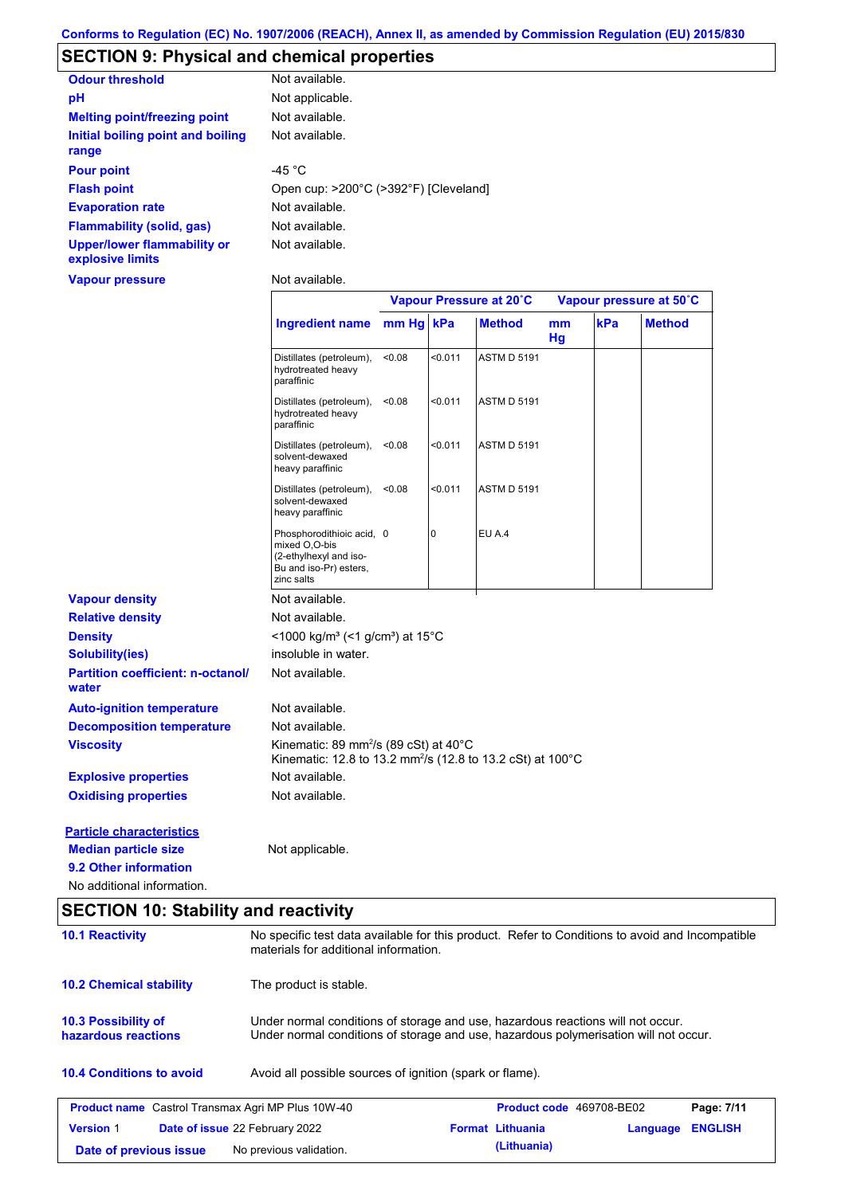# **SECTION 9: Physical and chemical properties**

| <b>Odour threshold</b>                                 | Not available.                        |
|--------------------------------------------------------|---------------------------------------|
| рH                                                     | Not applicable.                       |
| <b>Melting point/freezing point</b>                    | Not available.                        |
| Initial boiling point and boiling<br>range             | Not available.                        |
| <b>Pour point</b>                                      | -45 $^{\circ}$ C                      |
| <b>Flash point</b>                                     | Open cup: >200°C (>392°F) [Cleveland] |
| <b>Evaporation rate</b>                                | Not available.                        |
| <b>Flammability (solid, gas)</b>                       | Not available.                        |
| <b>Upper/lower flammability or</b><br>explosive limits | Not available.                        |

**Vapour pressure**

Not available.

|                                                   |                                                                                                                                       |        | Vapour Pressure at 20°C |                    |          | Vapour pressure at 50°C |               |  |
|---------------------------------------------------|---------------------------------------------------------------------------------------------------------------------------------------|--------|-------------------------|--------------------|----------|-------------------------|---------------|--|
|                                                   | Ingredient name mm Hg kPa                                                                                                             |        |                         | <b>Method</b>      | mm<br>Hg | kPa                     | <b>Method</b> |  |
|                                                   | Distillates (petroleum),<br>hydrotreated heavy<br>paraffinic                                                                          | <0.08  | < 0.011                 | <b>ASTM D 5191</b> |          |                         |               |  |
|                                                   | Distillates (petroleum),<br>hydrotreated heavy<br>paraffinic                                                                          | < 0.08 | < 0.011                 | <b>ASTM D 5191</b> |          |                         |               |  |
|                                                   | Distillates (petroleum),<br>solvent-dewaxed<br>heavy paraffinic                                                                       | < 0.08 | < 0.011                 | <b>ASTM D 5191</b> |          |                         |               |  |
|                                                   | Distillates (petroleum),<br>solvent-dewaxed<br>heavy paraffinic                                                                       | < 0.08 | < 0.011                 | <b>ASTM D 5191</b> |          |                         |               |  |
|                                                   | Phosphorodithioic acid, 0<br>mixed O,O-bis<br>(2-ethylhexyl and iso-<br>Bu and iso-Pr) esters,<br>zinc salts                          |        | 0                       | EU A.4             |          |                         |               |  |
| <b>Vapour density</b>                             | Not available.                                                                                                                        |        |                         |                    |          |                         |               |  |
| <b>Relative density</b>                           | Not available.                                                                                                                        |        |                         |                    |          |                         |               |  |
| <b>Density</b>                                    | <1000 kg/m <sup>3</sup> (<1 g/cm <sup>3</sup> ) at 15 <sup>°</sup> C                                                                  |        |                         |                    |          |                         |               |  |
| <b>Solubility(ies)</b>                            | insoluble in water.                                                                                                                   |        |                         |                    |          |                         |               |  |
| <b>Partition coefficient: n-octanol/</b><br>water | Not available.                                                                                                                        |        |                         |                    |          |                         |               |  |
| <b>Auto-ignition temperature</b>                  | Not available.                                                                                                                        |        |                         |                    |          |                         |               |  |
| <b>Decomposition temperature</b>                  | Not available.                                                                                                                        |        |                         |                    |          |                         |               |  |
| <b>Viscosity</b>                                  | Kinematic: 89 mm <sup>2</sup> /s (89 cSt) at $40^{\circ}$ C<br>Kinematic: 12.8 to 13.2 mm <sup>2</sup> /s (12.8 to 13.2 cSt) at 100°C |        |                         |                    |          |                         |               |  |
| <b>Explosive properties</b>                       | Not available.                                                                                                                        |        |                         |                    |          |                         |               |  |
| <b>Oxidising properties</b>                       | Not available.                                                                                                                        |        |                         |                    |          |                         |               |  |
| <b>Particle characteristics</b>                   |                                                                                                                                       |        |                         |                    |          |                         |               |  |
| <b>Median particle size</b>                       | Not applicable.                                                                                                                       |        |                         |                    |          |                         |               |  |

# **SECTION 10: Stability and reactivity**

**9.2 Other information**

No additional information.

| <b>10.1 Reactivity</b>                                   | materials for additional information.                                                                                                                                   | No specific test data available for this product. Refer to Conditions to avoid and Incompatible |                                 |          |                |  |
|----------------------------------------------------------|-------------------------------------------------------------------------------------------------------------------------------------------------------------------------|-------------------------------------------------------------------------------------------------|---------------------------------|----------|----------------|--|
| <b>10.2 Chemical stability</b>                           | The product is stable.                                                                                                                                                  |                                                                                                 |                                 |          |                |  |
| 10.3 Possibility of<br>hazardous reactions               | Under normal conditions of storage and use, hazardous reactions will not occur.<br>Under normal conditions of storage and use, hazardous polymerisation will not occur. |                                                                                                 |                                 |          |                |  |
| <b>10.4 Conditions to avoid</b>                          | Avoid all possible sources of ignition (spark or flame).                                                                                                                |                                                                                                 |                                 |          |                |  |
| <b>Product name</b> Castrol Transmax Agri MP Plus 10W-40 |                                                                                                                                                                         |                                                                                                 | <b>Product code</b> 469708-BE02 |          | Page: 7/11     |  |
| <b>Version 1</b>                                         | <b>Date of issue 22 February 2022</b>                                                                                                                                   |                                                                                                 | <b>Format Lithuania</b>         | Language | <b>ENGLISH</b> |  |
| Date of previous issue                                   | No previous validation.                                                                                                                                                 |                                                                                                 | (Lithuania)                     |          |                |  |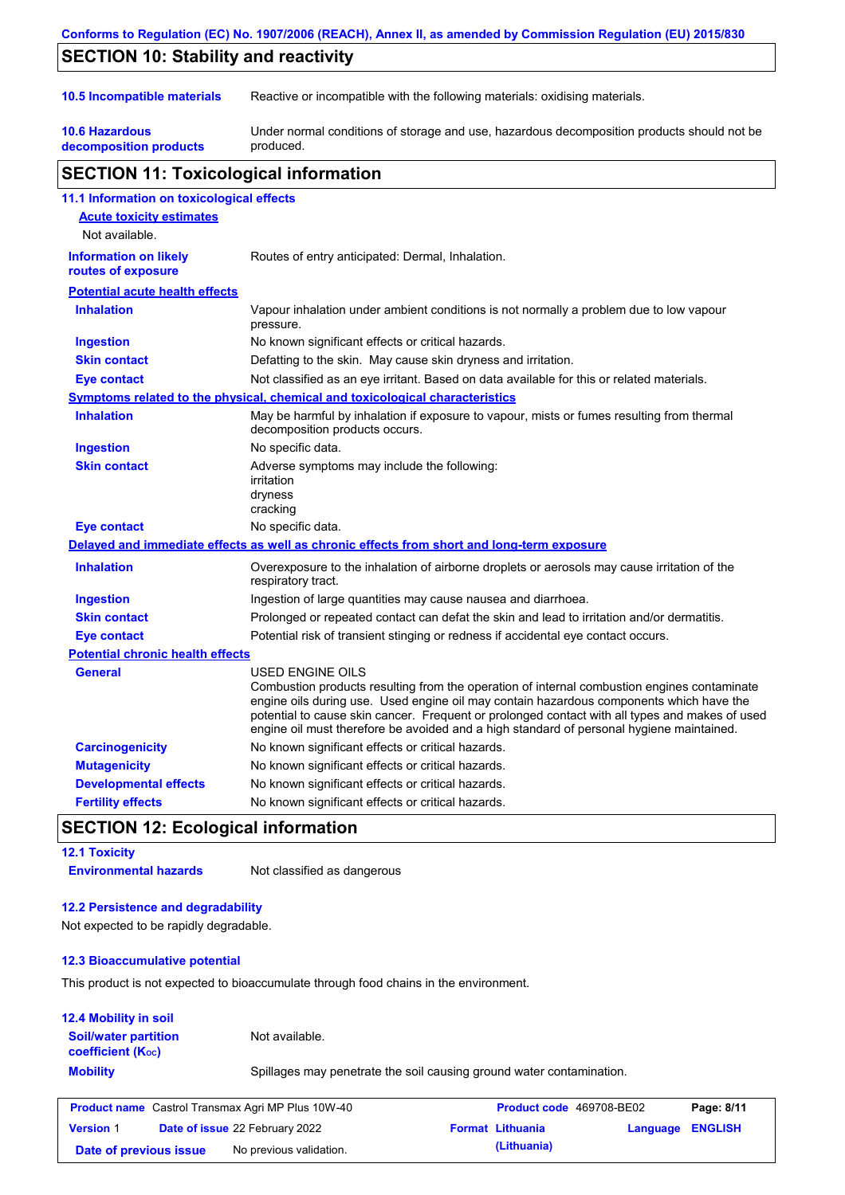|                                                    | Conforms to Regulation (EC) No. 1907/2006 (REACH), Annex II, as amended by Commission Regulation (EU) 2015/830                                                                                                                                                                                                                                                                                                  |
|----------------------------------------------------|-----------------------------------------------------------------------------------------------------------------------------------------------------------------------------------------------------------------------------------------------------------------------------------------------------------------------------------------------------------------------------------------------------------------|
| <b>SECTION 10: Stability and reactivity</b>        |                                                                                                                                                                                                                                                                                                                                                                                                                 |
|                                                    |                                                                                                                                                                                                                                                                                                                                                                                                                 |
| 10.5 Incompatible materials                        | Reactive or incompatible with the following materials: oxidising materials.                                                                                                                                                                                                                                                                                                                                     |
| <b>10.6 Hazardous</b><br>decomposition products    | Under normal conditions of storage and use, hazardous decomposition products should not be<br>produced.                                                                                                                                                                                                                                                                                                         |
| <b>SECTION 11: Toxicological information</b>       |                                                                                                                                                                                                                                                                                                                                                                                                                 |
| 11.1 Information on toxicological effects          |                                                                                                                                                                                                                                                                                                                                                                                                                 |
| <b>Acute toxicity estimates</b>                    |                                                                                                                                                                                                                                                                                                                                                                                                                 |
| Not available.                                     |                                                                                                                                                                                                                                                                                                                                                                                                                 |
| <b>Information on likely</b><br>routes of exposure | Routes of entry anticipated: Dermal, Inhalation.                                                                                                                                                                                                                                                                                                                                                                |
| <b>Potential acute health effects</b>              |                                                                                                                                                                                                                                                                                                                                                                                                                 |
| <b>Inhalation</b>                                  | Vapour inhalation under ambient conditions is not normally a problem due to low vapour<br>pressure.                                                                                                                                                                                                                                                                                                             |
| <b>Ingestion</b>                                   | No known significant effects or critical hazards.                                                                                                                                                                                                                                                                                                                                                               |
| <b>Skin contact</b>                                | Defatting to the skin. May cause skin dryness and irritation.                                                                                                                                                                                                                                                                                                                                                   |
| <b>Eye contact</b>                                 | Not classified as an eye irritant. Based on data available for this or related materials.                                                                                                                                                                                                                                                                                                                       |
|                                                    | Symptoms related to the physical, chemical and toxicological characteristics                                                                                                                                                                                                                                                                                                                                    |
| <b>Inhalation</b>                                  | May be harmful by inhalation if exposure to vapour, mists or fumes resulting from thermal<br>decomposition products occurs.                                                                                                                                                                                                                                                                                     |
| <b>Ingestion</b>                                   | No specific data.                                                                                                                                                                                                                                                                                                                                                                                               |
| <b>Skin contact</b>                                | Adverse symptoms may include the following:<br>irritation<br>dryness<br>cracking                                                                                                                                                                                                                                                                                                                                |
| <b>Eye contact</b>                                 | No specific data.                                                                                                                                                                                                                                                                                                                                                                                               |
|                                                    | Delayed and immediate effects as well as chronic effects from short and long-term exposure                                                                                                                                                                                                                                                                                                                      |
| <b>Inhalation</b>                                  | Overexposure to the inhalation of airborne droplets or aerosols may cause irritation of the<br>respiratory tract.                                                                                                                                                                                                                                                                                               |
| <b>Ingestion</b>                                   | Ingestion of large quantities may cause nausea and diarrhoea.                                                                                                                                                                                                                                                                                                                                                   |
| <b>Skin contact</b>                                | Prolonged or repeated contact can defat the skin and lead to irritation and/or dermatitis.                                                                                                                                                                                                                                                                                                                      |
| <b>Eye contact</b>                                 | Potential risk of transient stinging or redness if accidental eye contact occurs.                                                                                                                                                                                                                                                                                                                               |
| <b>Potential chronic health effects</b>            |                                                                                                                                                                                                                                                                                                                                                                                                                 |
| <b>General</b>                                     | <b>USED ENGINE OILS</b><br>Combustion products resulting from the operation of internal combustion engines contaminate<br>engine oils during use. Used engine oil may contain hazardous components which have the<br>potential to cause skin cancer. Frequent or prolonged contact with all types and makes of used<br>engine oil must therefore be avoided and a high standard of personal hygiene maintained. |
| <b>Carcinogenicity</b>                             | No known significant effects or critical hazards.                                                                                                                                                                                                                                                                                                                                                               |
| <b>Mutagenicity</b>                                | No known significant effects or critical hazards.                                                                                                                                                                                                                                                                                                                                                               |
| <b>Developmental effects</b>                       | No known significant effects or critical hazards.                                                                                                                                                                                                                                                                                                                                                               |
| <b>Fertility effects</b>                           | No known significant effects or critical hazards.                                                                                                                                                                                                                                                                                                                                                               |

## **SECTION 12: Ecological information**

#### **12.1 Toxicity**

**Environmental hazards** Not classified as dangerous

### **12.2 Persistence and degradability**

Not expected to be rapidly degradable.

### **12.3 Bioaccumulative potential**

This product is not expected to bioaccumulate through food chains in the environment.

| <b>12.4 Mobility in soil</b>                                  |                                                                      |
|---------------------------------------------------------------|----------------------------------------------------------------------|
| <b>Soil/water partition</b><br>coefficient (K <sub>oc</sub> ) | Not available.                                                       |
| <b>Mobility</b>                                               | Spillages may penetrate the soil causing ground water contamination. |

| <b>Product name</b> Castrol Transmax Agri MP Plus 10W-40 |                                       | <b>Product code</b> 469708-BE02 | Page: 8/11              |                         |  |
|----------------------------------------------------------|---------------------------------------|---------------------------------|-------------------------|-------------------------|--|
| <b>Version 1</b>                                         | <b>Date of issue 22 February 2022</b> |                                 | <b>Format Lithuania</b> | <b>Language ENGLISH</b> |  |
| Date of previous issue                                   |                                       | No previous validation.         | (Lithuania)             |                         |  |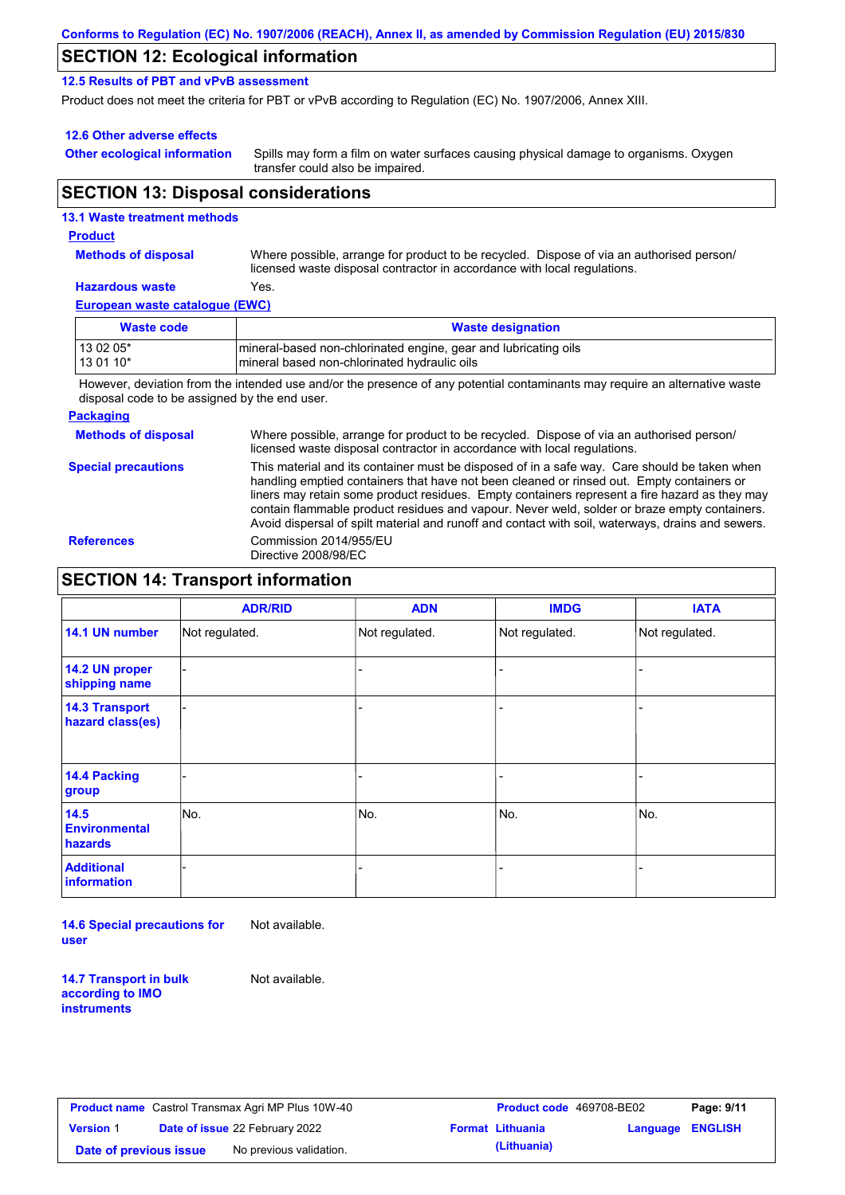## **SECTION 12: Ecological information**

#### **12.5 Results of PBT and vPvB assessment**

Product does not meet the criteria for PBT or vPvB according to Regulation (EC) No. 1907/2006, Annex XIII.

#### **12.6 Other adverse effects**

**Other ecological information**

Spills may form a film on water surfaces causing physical damage to organisms. Oxygen transfer could also be impaired.

## **SECTION 13: Disposal considerations**

| <b>13.1 Waste treatment methods</b> |                                                                                                                                                                      |
|-------------------------------------|----------------------------------------------------------------------------------------------------------------------------------------------------------------------|
| <b>Product</b>                      |                                                                                                                                                                      |
| <b>Methods of disposal</b>          | Where possible, arrange for product to be recycled. Dispose of via an authorised person/<br>licensed waste disposal contractor in accordance with local regulations. |
| <b>Hazardous waste</b>              | Yes.                                                                                                                                                                 |
| European waste catalogue (EWC)      |                                                                                                                                                                      |
| <b>Waste code</b>                   | <b>Waste designation</b>                                                                                                                                             |

13 02 05\* **mineral-based non-chlorinated engine, gear and lubricating oils** 

13 01 10<sup>\*</sup> https://wineral based non-chlorinated hydraulic oils

However, deviation from the intended use and/or the presence of any potential contaminants may require an alternative waste disposal code to be assigned by the end user.

#### **Packaging**

**Methods of disposal** Where possible, arrange for product to be recycled. Dispose of via an authorised person/ licensed waste disposal contractor in accordance with local regulations.

**Special precautions** This material and its container must be disposed of in a safe way. Care should be taken when handling emptied containers that have not been cleaned or rinsed out. Empty containers or liners may retain some product residues. Empty containers represent a fire hazard as they may contain flammable product residues and vapour. Never weld, solder or braze empty containers. Avoid dispersal of spilt material and runoff and contact with soil, waterways, drains and sewers. **References** Commission 2014/955/EU Directive 2008/98/EC

## **SECTION 14: Transport information**

|                                           | <b>ADR/RID</b> | <b>ADN</b>     | <b>IMDG</b>    | <b>IATA</b>    |
|-------------------------------------------|----------------|----------------|----------------|----------------|
| 14.1 UN number                            | Not regulated. | Not regulated. | Not regulated. | Not regulated. |
| 14.2 UN proper<br>shipping name           |                |                |                |                |
| <b>14.3 Transport</b><br>hazard class(es) |                |                |                |                |
| 14.4 Packing<br>group                     |                |                |                |                |
| 14.5<br><b>Environmental</b><br>hazards   | No.            | No.            | No.            | No.            |
| <b>Additional</b><br>information          |                |                |                |                |

**14.6 Special precautions for user** Not available.

**14.7 Transport in bulk according to IMO instruments**

Not available.

|                        | <b>Product name</b> Castrol Transmax Agri MP Plus 10W-40 | <b>Product co</b>       |
|------------------------|----------------------------------------------------------|-------------------------|
| <b>Version 1</b>       | <b>Date of issue 22 February 2022</b>                    | <b>Format Lithuania</b> |
| Date of previous issue | No previous validation.                                  | (Lithuania)             |

| Castrol Transmax Agri MP Plus 10W-40 |                                       |  | <b>Product code</b> 469708-BE02 | Page: 9/11              |  |
|--------------------------------------|---------------------------------------|--|---------------------------------|-------------------------|--|
|                                      | <b>Date of issue 22 February 2022</b> |  | <b>Format Lithuania</b>         | <b>Language ENGLISH</b> |  |
| pus issue                            | No previous validation.               |  | (Lithuania)                     |                         |  |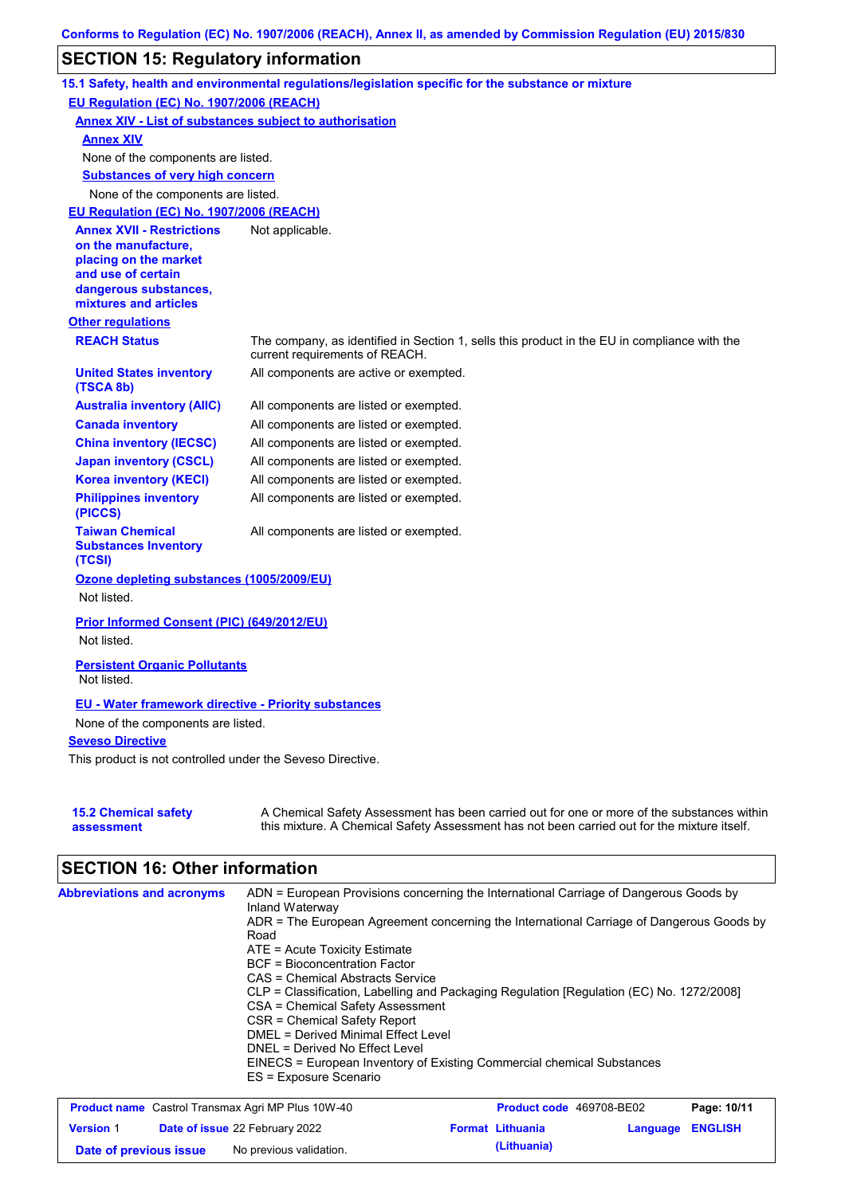# **SECTION 15: Regulatory information**

|                                                                 | 15.1 Safety, health and environmental regulations/legislation specific for the substance or mixture                                                                                       |
|-----------------------------------------------------------------|-------------------------------------------------------------------------------------------------------------------------------------------------------------------------------------------|
| EU Regulation (EC) No. 1907/2006 (REACH)                        |                                                                                                                                                                                           |
| <b>Annex XIV - List of substances subject to authorisation</b>  |                                                                                                                                                                                           |
| <b>Annex XIV</b>                                                |                                                                                                                                                                                           |
| None of the components are listed.                              |                                                                                                                                                                                           |
| <b>Substances of very high concern</b>                          |                                                                                                                                                                                           |
| None of the components are listed.                              |                                                                                                                                                                                           |
| EU Regulation (EC) No. 1907/2006 (REACH)                        |                                                                                                                                                                                           |
| <b>Annex XVII - Restrictions</b>                                | Not applicable.                                                                                                                                                                           |
| on the manufacture,<br>placing on the market                    |                                                                                                                                                                                           |
| and use of certain                                              |                                                                                                                                                                                           |
| dangerous substances,                                           |                                                                                                                                                                                           |
| mixtures and articles                                           |                                                                                                                                                                                           |
| <b>Other regulations</b>                                        |                                                                                                                                                                                           |
| <b>REACH Status</b>                                             | The company, as identified in Section 1, sells this product in the EU in compliance with the<br>current requirements of REACH.                                                            |
| <b>United States inventory</b><br>(TSCA 8b)                     | All components are active or exempted.                                                                                                                                                    |
| <b>Australia inventory (AIIC)</b>                               | All components are listed or exempted.                                                                                                                                                    |
| <b>Canada inventory</b>                                         | All components are listed or exempted.                                                                                                                                                    |
| <b>China inventory (IECSC)</b>                                  | All components are listed or exempted.                                                                                                                                                    |
| <b>Japan inventory (CSCL)</b>                                   | All components are listed or exempted.                                                                                                                                                    |
| <b>Korea inventory (KECI)</b>                                   | All components are listed or exempted.                                                                                                                                                    |
| <b>Philippines inventory</b><br>(PICCS)                         | All components are listed or exempted.                                                                                                                                                    |
| <b>Taiwan Chemical</b><br><b>Substances Inventory</b><br>(TCSI) | All components are listed or exempted.                                                                                                                                                    |
| Ozone depleting substances (1005/2009/EU)                       |                                                                                                                                                                                           |
| Not listed.                                                     |                                                                                                                                                                                           |
| Prior Informed Consent (PIC) (649/2012/EU)<br>Not listed.       |                                                                                                                                                                                           |
| <b>Persistent Organic Pollutants</b><br>Not listed.             |                                                                                                                                                                                           |
| <b>EU - Water framework directive - Priority substances</b>     |                                                                                                                                                                                           |
| None of the components are listed.                              |                                                                                                                                                                                           |
| <b>Seveso Directive</b>                                         |                                                                                                                                                                                           |
| This product is not controlled under the Seveso Directive.      |                                                                                                                                                                                           |
|                                                                 |                                                                                                                                                                                           |
| <b>15.2 Chemical safety</b><br>assessment                       | A Chemical Safety Assessment has been carried out for one or more of the substances within<br>this mixture. A Chemical Safety Assessment has not been carried out for the mixture itself. |

# **SECTION 16: Other information**

| <b>Abbreviations and acronyms</b> | ADN = European Provisions concerning the International Carriage of Dangerous Goods by    |
|-----------------------------------|------------------------------------------------------------------------------------------|
|                                   | Inland Waterway                                                                          |
|                                   | ADR = The European Agreement concerning the International Carriage of Dangerous Goods by |
|                                   | Road                                                                                     |
|                                   | $ATE = Acute Toxicity Estimate$                                                          |
|                                   | <b>BCF</b> = Bioconcentration Factor                                                     |
|                                   | CAS = Chemical Abstracts Service                                                         |
|                                   | CLP = Classification, Labelling and Packaging Regulation [Regulation (EC) No. 1272/2008] |
|                                   | CSA = Chemical Safety Assessment                                                         |
|                                   | CSR = Chemical Safety Report                                                             |
|                                   | <b>DMEL = Derived Minimal Effect Level</b>                                               |
|                                   | DNEL = Derived No Effect Level                                                           |
|                                   | EINECS = European Inventory of Existing Commercial chemical Substances                   |
|                                   | ES = Exposure Scenario                                                                   |
|                                   |                                                                                          |

| <b>Product name</b> Castrol Transmax Agri MP Plus 10W-40 |  |                                       | <b>Product code</b> 469708-BE02 | Page: 10/11             |                         |  |
|----------------------------------------------------------|--|---------------------------------------|---------------------------------|-------------------------|-------------------------|--|
| <b>Version 1</b>                                         |  | <b>Date of issue 22 February 2022</b> |                                 | <b>Format Lithuania</b> | <b>Language ENGLISH</b> |  |
| Date of previous issue                                   |  | No previous validation.               |                                 | (Lithuania)             |                         |  |